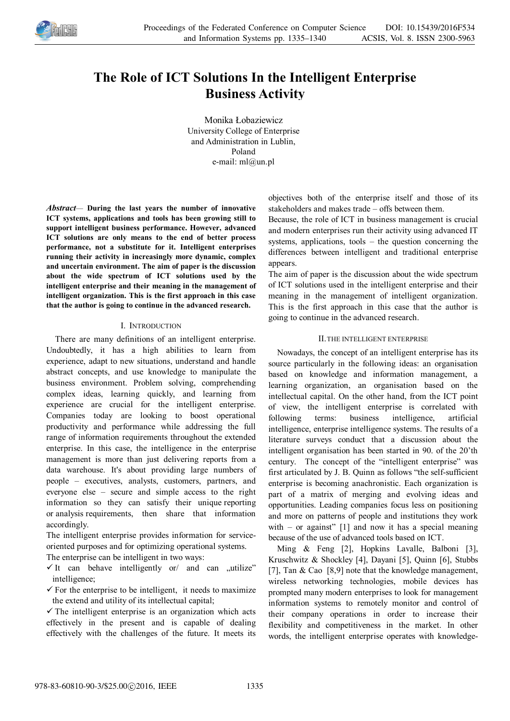

# **The Role of ICT Solutions In the Intelligent Enterprise Business Activity**

Monika Łobaziewicz University College of Enterprise and Administration in Lublin, Poland e-mail: ml@un.pl

*Abstract—* **During the last years the number of innovative ICT systems, applications and tools has been growing still to support intelligent business performance. However, advanced ICT solutions are only means to the end of better process performance, not a substitute for it. Intelligent enterprises running their activity in increasingly more dynamic, complex and uncertain environment. The aim of paper is the discussion about the wide spectrum of ICT solutions used by the intelligent enterprise and their meaning in the management of intelligent organization. This is the first approach in this case that the author is going to continue in the advanced research.** 

# I. INTRODUCTION

There are many definitions of an intelligent enterprise. Undoubtedly, it has a high abilities to learn from experience, adapt to new situations, understand and handle abstract concepts, and use knowledge to manipulate the business environment. Problem solving, comprehending complex ideas, learning quickly, and learning from experience are crucial for the intelligent enterprise. Companies today are looking to boost operational productivity and performance while addressing the full range of information requirements throughout the extended enterprise. In this case, the intelligence in the enterprise management is more than just delivering reports from a data warehouse. It's about providing large numbers of people – executives, analysts, customers, partners, and everyone else – secure and simple access to the right information so they can satisfy their unique reporting or analysis requirements, then share that information accordingly.

The intelligent enterprise provides information for serviceoriented purposes and for optimizing operational systems.

The enterprise can be intelligent in two ways:

- $\checkmark$  It can behave intelligently or and can  $\checkmark$  utilize" intelligence;
- $\checkmark$  For the enterprise to be intelligent, it needs to maximize the extend and utility of its intellectual capital;

 $\checkmark$  The intelligent enterprise is an organization which acts effectively in the present and is capable of dealing effectively with the challenges of the future. It meets its objectives both of the enterprise itself and those of its stakeholders and makes trade – offs between them.

Because, the role of ICT in business management is crucial and modern enterprises run their activity using advanced IT systems, applications, tools – the question concerning the differences between intelligent and traditional enterprise appears.

The aim of paper is the discussion about the wide spectrum of ICT solutions used in the intelligent enterprise and their meaning in the management of intelligent organization. This is the first approach in this case that the author is going to continue in the advanced research.

## II.THE INTELLIGENT ENTERPRISE

Nowadays, the concept of an intelligent enterprise has its source particularly in the following ideas: an organisation based on knowledge and information management, a learning organization, an organisation based on the intellectual capital. On the other hand, from the ICT point of view, the intelligent enterprise is correlated with following terms: business intelligence, artificial intelligence, enterprise intelligence systems. The results of a literature surveys conduct that a discussion about the intelligent organisation has been started in 90. of the 20'th century. The concept of the "intelligent enterprise" was first articulated by J. B. Quinn as follows "the self-sufficient enterprise is becoming anachronistic. Each organization is part of a matrix of merging and evolving ideas and opportunities. Leading companies focus less on positioning and more on patterns of people and institutions they work with – or against"  $[1]$  and now it has a special meaning because of the use of advanced tools based on ICT.

Ming & Feng [2], Hopkins Lavalle, Balboni [3], Kruschwitz & Shockley [4], Dayani [5], Quinn [6], Stubbs [7], Tan & Cao [8,9] note that the knowledge management, wireless networking technologies, mobile devices has prompted many modern enterprises to look for management information systems to remotely monitor and control of their company operations in order to increase their flexibility and competitiveness in the market. In other words, the intelligent enterprise operates with knowledge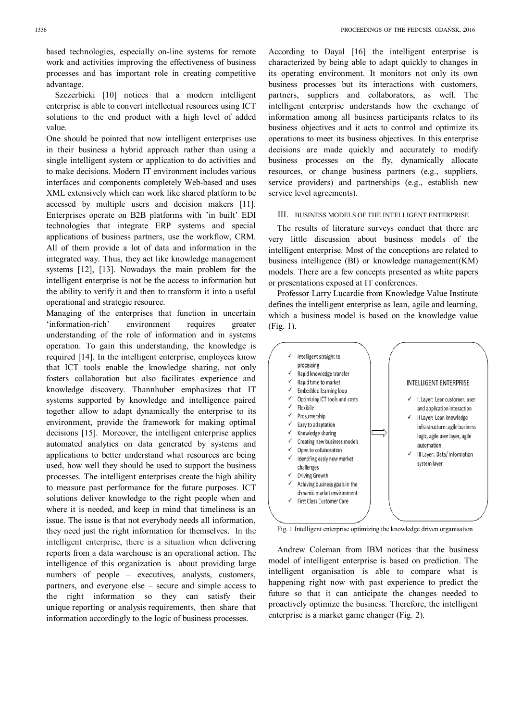based technologies, especially on-line systems for remote work and activities improving the effectiveness of business processes and has important role in creating competitive advantage.

Szczerbicki [10] notices that a modern intelligent enterprise is able to convert intellectual resources using ICT solutions to the end product with a high level of added value.

One should be pointed that now intelligent enterprises use in their business a hybrid approach rather than using a single intelligent system or application to do activities and to make decisions. Modern IT environment includes various interfaces and components completely Web-based and uses XML extensively which can work like shared platform to be accessed by multiple users and decision makers [11]. Enterprises operate on B2B platforms with 'in built' EDI technologies that integrate ERP systems and special applications of business partners, use the workflow, CRM. All of them provide a lot of data and information in the integrated way. Thus, they act like knowledge management systems [12], [13]. Nowadays the main problem for the intelligent enterprise is not be the access to information but the ability to verify it and then to transform it into a useful operational and strategic resource.

Managing of the enterprises that function in uncertain 'information-rich' environment requires greater understanding of the role of information and in systems operation. To gain this understanding, the knowledge is required [14]. In the intelligent enterprise, employees know that ICT tools enable the knowledge sharing, not only fosters collaboration but also facilitates experience and knowledge discovery. Thannhuber emphasizes that IT systems supported by knowledge and intelligence paired together allow to adapt dynamically the enterprise to its environment, provide the framework for making optimal decisions [15]. Moreover, the intelligent enterprise applies automated analytics on data generated by systems and applications to better understand what resources are being used, how well they should be used to support the business processes. The intelligent enterprises create the high ability to measure past performance for the future purposes. ICT solutions deliver knowledge to the right people when and where it is needed, and keep in mind that timeliness is an issue. The issue is that not everybody needs all information, they need just the right information for themselves. In the intelligent enterprise, there is a situation when delivering reports from a data warehouse is an operational action. The intelligence of this organization is about providing large numbers of people – executives, analysts, customers, partners, and everyone else – secure and simple access to the right information so they can satisfy their unique reporting or analysis requirements, then share that information accordingly to the logic of business processes.

According to Dayal [16] the intelligent enterprise is characterized by being able to adapt quickly to changes in its operating environment. It monitors not only its own business processes but its interactions with customers, partners, suppliers and collaborators, as well. The intelligent enterprise understands how the exchange of information among all business participants relates to its business objectives and it acts to control and optimize its operations to meet its business objectives. In this enterprise decisions are made quickly and accurately to modify business processes on the fly, dynamically allocate resources, or change business partners (e.g., suppliers, service providers) and partnerships (e.g., establish new service level agreements).

#### III. BUSINESS MODELS OF THE INTELLIGENT ENTERPRISE

The results of literature surveys conduct that there are very little discussion about business models of the intelligent enterprise. Most of the conceptions are related to business intelligence (BI) or knowledge management(KM) models. There are a few concepts presented as white papers or presentations exposed at IT conferences.

Professor Larry Lucardie from Knowledge Value Institute defines the intelligent enterprise as lean, agile and learning, which a business model is based on the knowledge value (Fig. 1).



Fig. 1 Intelligent enterprise optimizing the knowledge driven organisation

Andrew Coleman from IBM notices that the business model of intelligent enterprise is based on prediction. The intelligent organisation is able to compare what is happening right now with past experience to predict the future so that it can anticipate the changes needed to proactively optimize the business. Therefore, the intelligent enterprise is a market game changer (Fig. 2).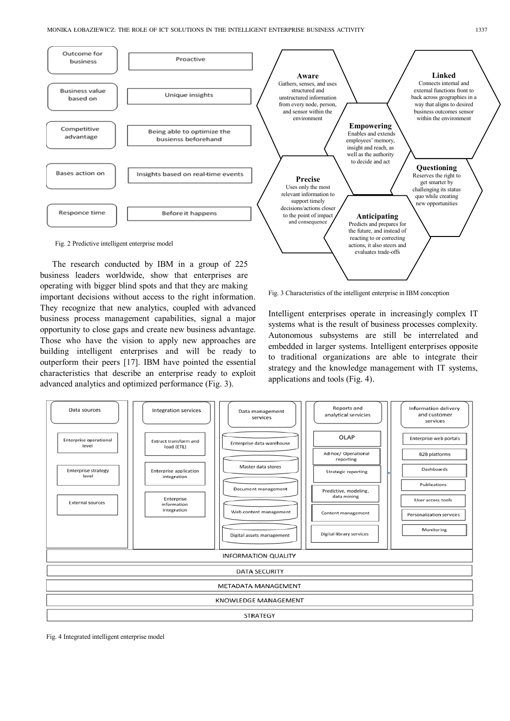

The research conducted by IBM in a group of 225 business leaders worldwide, show that enterprises are operating with bigger blind spots and that they are making important decisions without access to the right information. They recognize that new analytics, coupled with advanced business process management capabilities, signal a major opportunity to close gaps and create new business advantage. Those who have the vision to apply new approaches are building intelligent enterprises and will be ready to outperform their peers [17]. IBM have pointed the essential characteristics that describe an enterprise ready to exploit advanced analytics and optimized performance (Fig. 3).



Intelligent enterprises operate in increasingly complex IT systems what is the result of business processes complexity. Autonomous subsystems are still be interrelated and embedded in larger systems. Intelligent enterprises opposite to traditional organizations are able to integrate their strategy and the knowledge management with IT systems, applications and tools (Fig. 4).



Fig. 4 Integrated intelligent enterprise model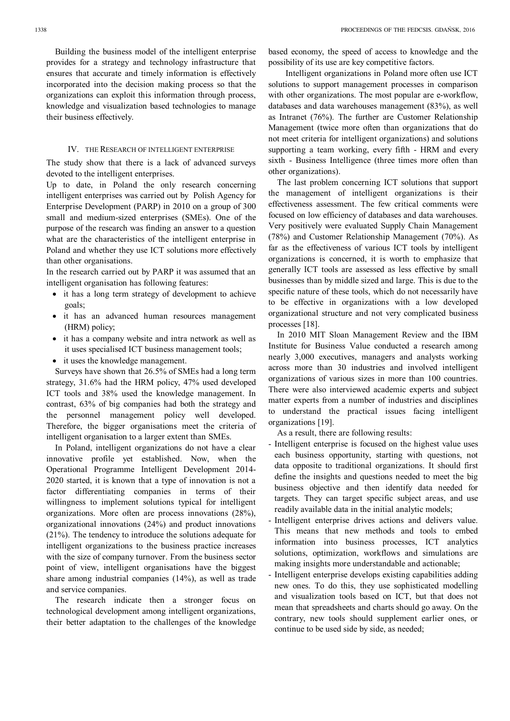Building the business model of the intelligent enterprise provides for a strategy and technology infrastructure that ensures that accurate and timely information is effectively incorporated into the decision making process so that the organizations can exploit this information through process, knowledge and visualization based technologies to manage their business effectively.

## IV. THE RESEARCH OF INTELLIGENT ENTERPRISE

The study show that there is a lack of advanced surveys devoted to the intelligent enterprises.

Up to date, in Poland the only research concerning intelligent enterprises was carried out by Polish Agency for Enterprise Development (PARP) in 2010 on a group of 300 small and medium-sized enterprises (SMEs). One of the purpose of the research was finding an answer to a question what are the characteristics of the intelligent enterprise in Poland and whether they use ICT solutions more effectively than other organisations.

In the research carried out by PARP it was assumed that an intelligent organisation has following features:

- it has a long term strategy of development to achieve goals;
- it has an advanced human resources management (HRM) policy;
- it has a company website and intra network as well as it uses specialised ICT business management tools;
- it uses the knowledge management.

Surveys have shown that 26.5% of SMEs had a long term strategy, 31.6% had the HRM policy, 47% used developed ICT tools and 38% used the knowledge management. In contrast, 63% of big companies had both the strategy and the personnel management policy well developed. Therefore, the bigger organisations meet the criteria of intelligent organisation to a larger extent than SMEs.

In Poland, intelligent organizations do not have a clear innovative profile yet established. Now, when the Operational Programme Intelligent Development 2014- 2020 started, it is known that a type of innovation is not a factor differentiating companies in terms of their willingness to implement solutions typical for intelligent organizations. More often are process innovations (28%), organizational innovations (24%) and product innovations (21%). The tendency to introduce the solutions adequate for intelligent organizations to the business practice increases with the size of company turnover. From the business sector point of view, intelligent organisations have the biggest share among industrial companies (14%), as well as trade and service companies.

The research indicate then a stronger focus on technological development among intelligent organizations, their better adaptation to the challenges of the knowledge based economy, the speed of access to knowledge and the possibility of its use are key competitive factors.

 Intelligent organizations in Poland more often use ICT solutions to support management processes in comparison with other organizations. The most popular are e-workflow, databases and data warehouses management (83%), as well as Intranet (76%). The further are Customer Relationship Management (twice more often than organizations that do not meet criteria for intelligent organizations) and solutions supporting a team working, every fifth - HRM and every sixth - Business Intelligence (three times more often than other organizations).

The last problem concerning ICT solutions that support the management of intelligent organizations is their effectiveness assessment. The few critical comments were focused on low efficiency of databases and data warehouses. Very positively were evaluated Supply Chain Management (78%) and Customer Relationship Management (70%). As far as the effectiveness of various ICT tools by intelligent organizations is concerned, it is worth to emphasize that generally ICT tools are assessed as less effective by small businesses than by middle sized and large. This is due to the specific nature of these tools, which do not necessarily have to be effective in organizations with a low developed organizational structure and not very complicated business processes [18].

In 2010 MIT Sloan Management Review and the IBM Institute for Business Value conducted a research among nearly 3,000 executives, managers and analysts working across more than 30 industries and involved intelligent organizations of various sizes in more than 100 countries. There were also interviewed academic experts and subject matter experts from a number of industries and disciplines to understand the practical issues facing intelligent organizations [19].

As a result, there are following results:

- Intelligent enterprise is focused on the highest value uses each business opportunity, starting with questions, not data opposite to traditional organizations. It should first define the insights and questions needed to meet the big business objective and then identify data needed for targets. They can target specific subject areas, and use readily available data in the initial analytic models;
- Intelligent enterprise drives actions and delivers value. This means that new methods and tools to embed information into business processes, ICT analytics solutions, optimization, workflows and simulations are making insights more understandable and actionable;
- Intelligent enterprise develops existing capabilities adding new ones. To do this, they use sophisticated modelling and visualization tools based on ICT, but that does not mean that spreadsheets and charts should go away. On the contrary, new tools should supplement earlier ones, or continue to be used side by side, as needed;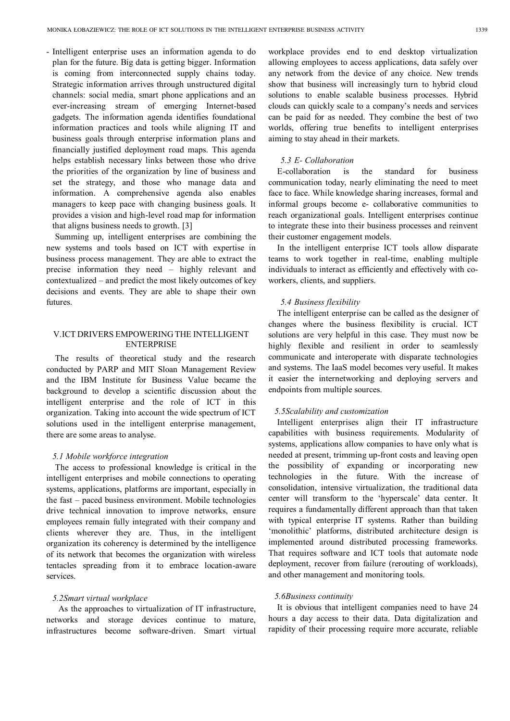- Intelligent enterprise uses an information agenda to do plan for the future. Big data is getting bigger. Information is coming from interconnected supply chains today. Strategic information arrives through unstructured digital channels: social media, smart phone applications and an ever-increasing stream of emerging Internet-based gadgets. The information agenda identifies foundational information practices and tools while aligning IT and business goals through enterprise information plans and financially justified deployment road maps. This agenda helps establish necessary links between those who drive the priorities of the organization by line of business and set the strategy, and those who manage data and information. A comprehensive agenda also enables managers to keep pace with changing business goals. It provides a vision and high-level road map for information that aligns business needs to growth. [3]

Summing up, intelligent enterprises are combining the new systems and tools based on ICT with expertise in business process management. They are able to extract the precise information they need – highly relevant and contextualized – and predict the most likely outcomes of key decisions and events. They are able to shape their own futures.

# V.ICT DRIVERS EMPOWERING THE INTELLIGENT **ENTERPRISE**

The results of theoretical study and the research conducted by PARP and MIT Sloan Management Review and the IBM Institute for Business Value became the background to develop a scientific discussion about the intelligent enterprise and the role of ICT in this organization. Taking into account the wide spectrum of ICT solutions used in the intelligent enterprise management, there are some areas to analyse.

## *5.1 Mobile workforce integration*

The access to professional knowledge is critical in the intelligent enterprises and mobile connections to operating systems, applications, platforms are important, especially in the fast – paced business environment. Mobile technologies drive technical innovation to improve networks, ensure employees remain fully integrated with their company and clients wherever they are. Thus, in the intelligent organization its coherency is determined by the intelligence of its network that becomes the organization with wireless tentacles spreading from it to embrace location-aware services.

## *5.2Smart virtual workplace*

As the approaches to virtualization of IT infrastructure, networks and storage devices continue to mature, infrastructures become software-driven. Smart virtual

workplace provides end to end desktop virtualization allowing employees to access applications, data safely over any network from the device of any choice. New trends show that business will increasingly turn to hybrid cloud solutions to enable scalable business processes. Hybrid clouds can quickly scale to a company's needs and services can be paid for as needed. They combine the best of two worlds, offering true benefits to intelligent enterprises aiming to stay ahead in their markets.

## *5.3 E- Collaboration*

E-collaboration is the standard for business communication today, nearly eliminating the need to meet face to face. While knowledge sharing increases, formal and informal groups become e- collaborative communities to reach organizational goals. Intelligent enterprises continue to integrate these into their business processes and reinvent their customer engagement models.

In the intelligent enterprise ICT tools allow disparate teams to work together in real-time, enabling multiple individuals to interact as efficiently and effectively with coworkers, clients, and suppliers.

#### *5.4 Business flexibility*

The intelligent enterprise can be called as the designer of changes where the business flexibility is crucial. ICT solutions are very helpful in this case. They must now be highly flexible and resilient in order to seamlessly communicate and interoperate with disparate technologies and systems. The IaaS model becomes very useful. It makes it easier the internetworking and deploying servers and endpoints from multiple sources.

### *5.5Scalability and customization*

Intelligent enterprises align their IT infrastructure capabilities with business requirements. Modularity of systems, applications allow companies to have only what is needed at present, trimming up-front costs and leaving open the possibility of expanding or incorporating new technologies in the future. With the increase of consolidation, intensive virtualization, the traditional data center will transform to the 'hyperscale' data center. It requires a fundamentally different approach than that taken with typical enterprise IT systems. Rather than building 'monolithic' platforms, distributed architecture design is implemented around distributed processing frameworks. That requires software and ICT tools that automate node deployment, recover from failure (rerouting of workloads), and other management and monitoring tools.

## *5.6Business continuity*

It is obvious that intelligent companies need to have 24 hours a day access to their data. Data digitalization and rapidity of their processing require more accurate, reliable